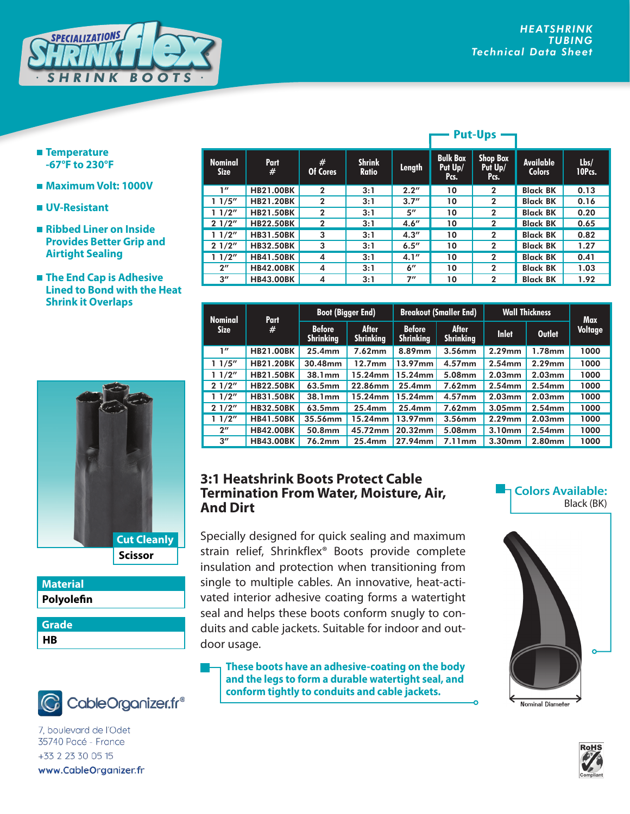

- **Temperature -67°F to 230°F**
- **Maximum Volt: 1000V**
- **UV-Resistant**
- **Ribbed Liner on Inside Provides Better Grip and Airtight Sealing**
- **The End Cap is Adhesive Lined to Bond with the Heat Shrink it Overlaps**



| <b>Material</b> |  |
|-----------------|--|
| Polyolefin      |  |
| <b>Grade</b>    |  |
| HR              |  |



7, boulevard de l'Odet 35740 Pacé - France +33 2 23 30 05 15 www.CableOrganizer.fr

|                               |                  |               | <b>Put-Ups</b>                |                    |                                    |                                    |                            |                |
|-------------------------------|------------------|---------------|-------------------------------|--------------------|------------------------------------|------------------------------------|----------------------------|----------------|
| <b>Nominal</b><br><b>Size</b> | <b>Part</b><br># | #<br>Of Cores | <b>Shrink</b><br><b>Ratio</b> | Length             | <b>Bulk Box</b><br>Put Up/<br>Pcs. | <b>Shop Box</b><br>Put Up/<br>Pcs. | Available<br><b>Colors</b> | Lbs/<br>10Pcs. |
| 1''                           | <b>HB21.00BK</b> | $\mathbf{2}$  | 3:1                           | 2.2''              | 10                                 | $\mathbf{2}$                       | <b>Black BK</b>            | 0.13           |
| 11/5''                        | <b>HB21.20BK</b> | $\mathbf{2}$  | 3:1                           | 3.7''              | 10                                 | $\mathbf{2}$                       | <b>Black BK</b>            | 0.16           |
| 11/2"                         | <b>HB21.50BK</b> | $\mathbf{2}$  | 3:1                           | $5^{\prime\prime}$ | 10                                 | $\mathbf{2}$                       | <b>Black BK</b>            | 0.20           |
| 21/2"                         | <b>HB22.50BK</b> | $\mathbf{2}$  | 3:1                           | 4.6''              | 10                                 | $\mathbf{2}$                       | <b>Black BK</b>            | 0.65           |
| 11/2"                         | <b>HB31.50BK</b> | 3             | 3:1                           | 4.3''              | 10                                 | $\mathbf{2}$                       | <b>Black BK</b>            | 0.82           |
| 21/2"                         | <b>HB32.50BK</b> | 3             | 3:1                           | 6.5''              | 10                                 | $\mathbf{2}$                       | <b>Black BK</b>            | 1.27           |
| 11/2"                         | <b>HB41.50BK</b> | 4             | 3:1                           | 4.1''              | 10                                 | $\mathbf{2}$                       | <b>Black BK</b>            | 0.41           |
| $2^{\prime\prime}$            | <b>HB42.00BK</b> | 4             | 3:1                           | $6^{\prime\prime}$ | 10                                 | $\mathbf{2}$                       | <b>Black BK</b>            | 1.03           |
| $3^{\prime\prime}$            | <b>HB43.00BK</b> | 4             | 3:1                           | 7″                 | 10                                 | $\mathbf{2}$                       | <b>Black BK</b>            | 1.92           |

| Part<br><b>Nominal</b> |                  | <b>Boot (Bigger End)</b>          |                                  | <b>Breakout (Smaller End)</b>     |                                  | <b>Wall Thickness</b> |               | <b>Max</b> |
|------------------------|------------------|-----------------------------------|----------------------------------|-----------------------------------|----------------------------------|-----------------------|---------------|------------|
| <b>Size</b>            | #                | <b>Before</b><br><b>Shrinking</b> | <b>After</b><br><b>Shrinking</b> | <b>Before</b><br><b>Shrinking</b> | <b>After</b><br><b>Shrinking</b> | <b>Inlet</b>          | <b>Outlet</b> | Voltage    |
| 1''                    | <b>HB21.00BK</b> | $25.4$ mm                         | 7.62mm                           | 8.89mm                            | 3.56mm                           | $2.29$ mm             | $1.78$ mm     | 1000       |
| 1/5''                  | <b>HB21.20BK</b> | 30.48mm                           | 12.7 <sub>mm</sub>               | 13.97mm                           | 4.57mm                           | $2.54$ mm             | $2.29$ mm     | 1000       |
| 11/2"                  | <b>HB21.50BK</b> | 38.1mm                            | 15.24mm                          | 15.24mm                           | 5.08mm                           | $2.03$ mm             | 2.03mm        | 1000       |
| 21/2"                  | <b>HB22.50BK</b> | 63.5mm                            | 22.86mm                          | $25.4$ mm                         | 7.62mm                           | $2.54$ mm             | $2.54$ mm     | 1000       |
| 1/2"                   | <b>HB31.50BK</b> | 38.1mm                            | 15.24mm                          | 15.24mm                           | $4.57$ mm                        | $2.03$ mm             | 2.03mm        | 1000       |
| 21/2"                  | <b>HB32.50BK</b> | 63.5mm                            | 25.4mm                           | $25.4$ mm                         | 7.62mm                           | $3.05$ mm             | $2.54$ mm     | 1000       |
| 1/2"                   | <b>HB41.50BK</b> | 35.56mm                           | 15.24mm                          | 13.97mm                           | 3.56mm                           | $2.29$ mm             | 2.03mm        | 1000       |
| $2^{\prime\prime}$     | <b>HB42.00BK</b> | 50.8mm                            | 45.72mm                          | 20.32mm                           | 5.08mm                           | 3.10mm                | $2.54$ mm     | 1000       |
| $3^{\prime\prime}$     | <b>HB43.00BK</b> | 76.2mm                            | 25.4 <sub>mm</sub>               | 27.94mm                           | 7.11mm                           | 3.30 <sub>mm</sub>    | 2.80mm        | 1000       |

## **3:1 Heatshrink Boots Protect Cable Termination From Water, Moisture, Air, And Dirt**

Specially designed for quick sealing and maximum strain relief, Shrinkflex® Boots provide complete insulation and protection when transitioning from single to multiple cables. An innovative, heat-activated interior adhesive coating forms a watertight seal and helps these boots conform snugly to conduits and cable jackets. Suitable for indoor and outdoor usage.

**These boots have an adhesive-coating on the body and the legs to form a durable watertight seal, and conform tightly to conduits and cable jackets.** 

## **Colors Available:** Black (BK)